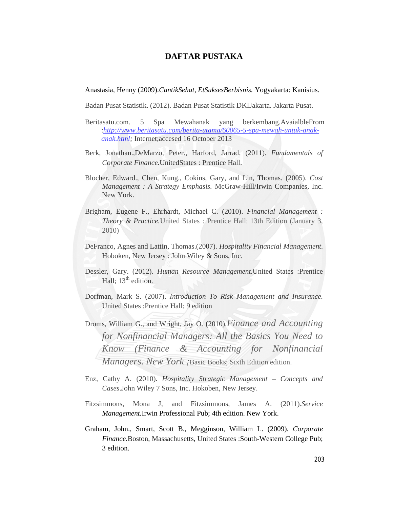## **DAFTAR PUSTAKA**

Anastasia, Henny (2009).*CantikSehat, EtSuksesBerbisnis.* Yogyakarta: Kanisius.

Badan Pusat Statistik. (2012). Badan Pusat Statistik DKIJakarta. Jakarta Pusat.

- Beritasatu.com. 5 Spa Mewahanak yang berkembang.AvaialbleFrom :*http://www.beritasatu.com/berita-utama/60065-5-spa-mewah-untuk-anakanak.html;* Internet;accesed 16 October 2013
- Berk, Jonathan.,DeMarzo, Peter., Harford, Jarrad. (2011). *Fundamentals of Corporate Finance.*UnitedStates : Prentice Hall.
- Blocher, Edward., Chen, Kung., Cokins, Gary, and Lin, Thomas. (2005). *Cost Management : A Strategy Emphasis.* McGraw-Hill/Irwin Companies, Inc. New York.
- Brigham, Eugene F., Ehrhardt, Michael C. (2010). *Financial Management : Theory & Practice.*United States : Prentice Hall; 13th Edition (January 3, 2010)
- DeFranco, Agnes and Lattin, Thomas.(2007). *Hospitality Financial Management*. Hoboken, New Jersey : John Wiley & Sons, Inc.
- Dessler, Gary. (2012). *Human Resource Management.*United States :Prentice Hall:  $13<sup>th</sup>$  edition.
- Dorfman, Mark S. (2007). *Introduction To Risk Management and Insurance.*  United States :Prentice Hall; 9 edition
- Droms, William G., and Wright, Jay O. (2010).*Finance and Accounting for Nonfinancial Managers: All the Basics You Need to Know (Finance & Accounting for Nonfinancial Managers. New York ;*Basic Books; Sixth Edition edition.
- Enz, Cathy A. (2010). *Hospitality Strategic Management Concepts and Cases*.John Wiley 7 Sons, Inc. Hokoben, New Jersey.
- Fitzsimmons, Mona J, and Fitzsimmons, James A. (2011).*Service Management.*Irwin Professional Pub; 4th edition. New York.
- Graham, John., Smart, Scott B., Megginson, William L. (2009). *Corporate Finance*.Boston, Massachusetts, United States :South-Western College Pub; 3 edition.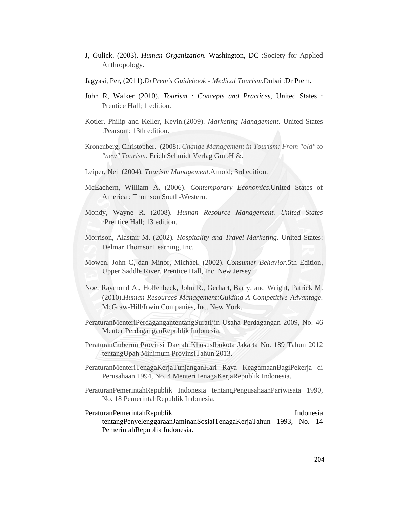- J, Gulick. (2003). *Human Organization.* Washington, DC :Society for Applied Anthropology.
- Jagyasi, Per, (2011).*DrPrem's Guidebook Medical Tourism.*Dubai :Dr Prem.
- John R, Walker (2010). *Tourism : Concepts and Practices*, United States : Prentice Hall; 1 edition.
- Kotler, Philip and Keller, Kevin.(2009). *Marketing Management*. United States :Pearson : 13th edition.
- Kronenberg, Christopher. (2008). *Change Management in Tourism: From "old" to "new" Tourism.* Erich Schmidt Verlag GmbH &.
- Leiper, Neil (2004). *Tourism Management*.Arnold; 3rd edition.
- McEachern, William A. (2006). *Contemporary Economics*.United States of America : Thomson South-Western.
- Mondy, Wayne R. (2008). *Human Resource Management. United States :*Prentice Hall; 13 edition.
- Morrison, Alastair M. (2002)*. Hospitality and Travel Marketing*. United States: Delmar ThomsonLearning, Inc.
- Mowen, John C, dan Minor, Michael, (2002). *Consumer Behavior.*5th Edition, Upper Saddle River, Prentice Hall, Inc. New Jersey.
- Noe, Raymond A., Hollenbeck, John R., Gerhart, Barry, and Wright, Patrick M. (2010).*Human Resources Management:Guiding A Competitive Advantage.*  McGraw-Hill/Irwin Companies, Inc. New York.
- PeraturanMenteriPerdagangantentangSuratIjin Usaha Perdagangan 2009, No. 46 MenteriPerdaganganRepublik Indonesia.
- PeraturanGubernurProvinsi Daerah KhususIbukota Jakarta No. 189 Tahun 2012 tentangUpah Minimum ProvinsiTahun 2013.
- PeraturanMenteriTenagaKerjaTunjanganHari Raya KeagamaanBagiPekerja di Perusahaan 1994, No. 4 MenteriTenagaKerjaRepublik Indonesia.
- PeraturanPemerintahRepublik Indonesia tentangPengusahaanPariwisata 1990, No. 18 PemerintahRepublik Indonesia.

PeraturanPemerintahRepublik Indonesia tentangPenyelenggaraanJaminanSosialTenagaKerjaTahun 1993, No. 14 PemerintahRepublik Indonesia.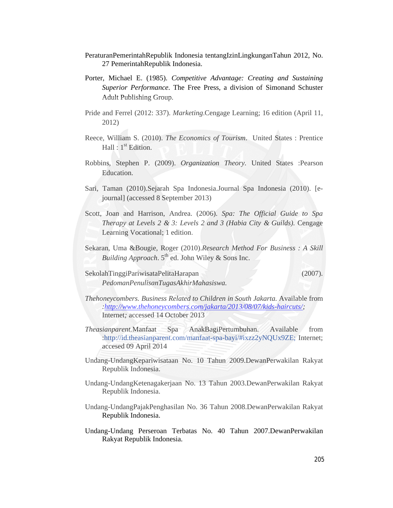- PeraturanPemerintahRepublik Indonesia tentangIzinLingkunganTahun 2012, No. 27 PemerintahRepublik Indonesia.
- Porter, Michael E. (1985). *Competitive Advantage: Creating and Sustaining Superior Performance*. The Free Press, a division of Simonand Schuster Adult Publishing Group.
- Pride and Ferrel (2012: 337). *Marketing*.Cengage Learning; 16 edition (April 11, 2012)
- Reece, William S. (2010). *The Economics of Tourism*. United States : Prentice Hall :  $1<sup>st</sup>$  Edition.
- Robbins, Stephen P. (2009). *Organization Theory.* United States :Pearson Education.
- Sari, Taman (2010).Sejarah Spa Indonesia.Journal Spa Indonesia (2010). [ejournal] (accessed 8 September 2013)
- Scott, Joan and Harrison, Andrea. (2006). *Spa: The Official Guide to Spa Therapy at Levels 2 & 3: Levels 2 and 3 (Habia City & Guilds).* Cengage Learning Vocational; 1 edition.
- Sekaran, Uma &Bougie, Roger (2010).*Research Method For Business : A Skill Building Approach*. 5<sup>th</sup> ed. John Wiley & Sons Inc.

SekolahTinggiPariwisataPelitaHarapan (2007). *PedomanPenulisanTugasAkhirMahasiswa.*

- *Thehoneycombers. Business Related to Children in South Jakarta.* Available from *:http://www.thehoneycombers.com/jakarta/2013/08/07/kids-haircuts/;*  Internet*;* accessed 14 October 2013
- *Theasianparent.*Manfaat Spa AnakBagiPertumbuhan. Available from :http://id.theasianparent.com/manfaat-spa-bayi/#ixzz2yNQUx9ZE; Internet; accesed 09 April 2014
- Undang-UndangKepariwisataan No. 10 Tahun 2009.DewanPerwakilan Rakyat Republik Indonesia.
- Undang-UndangKetenagakerjaan No. 13 Tahun 2003.DewanPerwakilan Rakyat Republik Indonesia.
- Undang-UndangPajakPenghasilan No. 36 Tahun 2008.DewanPerwakilan Rakyat Republik Indonesia.
- Undang-Undang Perseroan Terbatas No. 40 Tahun 2007.DewanPerwakilan Rakyat Republik Indonesia.